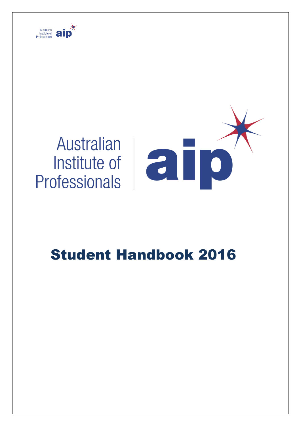

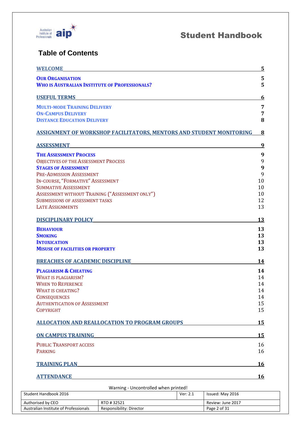

### **Table of Contents**

| <b>WELCOME</b>                                                                                                                                                                                                                                                                                                                      | <u>5</u>                                       |
|-------------------------------------------------------------------------------------------------------------------------------------------------------------------------------------------------------------------------------------------------------------------------------------------------------------------------------------|------------------------------------------------|
| <b>OUR ORGANISATION</b><br><b>WHO IS AUSTRALIAN INSTITUTE OF PROFESSIONALS?</b>                                                                                                                                                                                                                                                     | 5<br>5                                         |
| <b>USEFUL TERMS</b>                                                                                                                                                                                                                                                                                                                 | 6                                              |
| <b>MULTI-MODE TRAINING DELIVERY</b><br><b>ON-CAMPUS DELIVERY</b><br><b>DISTANCE EDUCATION DELIVERY</b>                                                                                                                                                                                                                              | $\overline{7}$<br>7<br>8                       |
| ASSIGNMENT OF WORKSHOP FACILITATORS, MENTORS AND STUDENT MONITORING                                                                                                                                                                                                                                                                 | 8                                              |
| <b>ASSESSMENT</b>                                                                                                                                                                                                                                                                                                                   | $\overline{9}$                                 |
| <b>THE ASSESSMENT PROCESS</b><br><b>OBJECTIVES OF THE ASSESSMENT PROCESS</b><br><b>STAGES OF ASSESSMENT</b><br>PRE-ADMISSION ASSESSMENT<br>IN-COURSE, "FORMATIVE" ASSESSMENT<br><b>SUMMATIVE ASSESSMENT</b><br>ASSESSMENT WITHOUT TRAINING ("ASSESSMENT ONLY")<br><b>SUBMISSIONS OF ASSESSMENT TASKS</b><br><b>LATE ASSIGNMENTS</b> | 9<br>9<br>9<br>9<br>10<br>10<br>10<br>12<br>13 |
| <b>DISCIPLINARY POLICY</b>                                                                                                                                                                                                                                                                                                          | <u>13</u>                                      |
| <b>BEHAVIOUR</b><br><b>SMOKING</b><br><b>INTOXICATION</b><br><b>MISUSE OF FACILITIES OR PROPERTY</b>                                                                                                                                                                                                                                | 13<br>13<br>13<br>13                           |
| <b>BREACHES OF ACADEMIC DISCIPLINE</b>                                                                                                                                                                                                                                                                                              | 14                                             |
| <b>PLAGIARISM &amp; CHEATING</b><br><b>WHAT IS PLAGIARISM?</b><br><b>WHEN TO REFERENCE</b><br><b>WHAT IS CHEATING?</b><br><b>CONSEQUENCES</b><br><b>AUTHENTICATION OF ASSESSMENT</b><br><b>COPYRIGHT</b>                                                                                                                            | 14<br>14<br>14<br>14<br>14<br>15<br>15         |
| <b>ALLOCATION AND REALLOCATION TO PROGRAM GROUPS</b>                                                                                                                                                                                                                                                                                | 15                                             |
| <b>ON CAMPUS TRAINING</b>                                                                                                                                                                                                                                                                                                           | <u>15</u>                                      |
| <b>PUBLIC TRANSPORT ACCESS</b><br><b>PARKING</b>                                                                                                                                                                                                                                                                                    | 16<br>16                                       |
| <b>TRAINING PLAN</b>                                                                                                                                                                                                                                                                                                                | <u>16</u>                                      |
| <b>ATTENDANCE</b>                                                                                                                                                                                                                                                                                                                   | <b>16</b>                                      |

Warning - Uncontrolled when printed! Student Handbook 2016 **Ver: 2.1** Issued: May 2016 Authorised by CEO RTO # 32521 RTO # 32521 Australian Institute of Professionals Responsibility: Director Page 2 of 31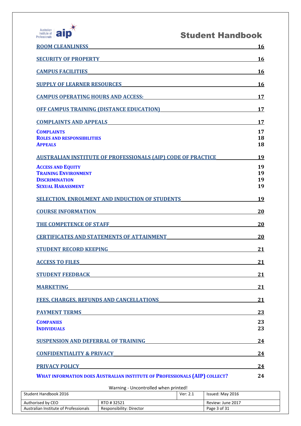

| <b>ROOM CLEANLINESS</b>                                                                                                                             | 16                   |
|-----------------------------------------------------------------------------------------------------------------------------------------------------|----------------------|
| <u> 1980 - Johann Barn, mars ann an t-Amhain Aonaich an t-Aonaich an t-Aonaich ann an t-Aonaich ann an t-Aonaich</u><br><b>SECURITY OF PROPERTY</b> | 16                   |
| <b>CAMPUS FACILITIES</b>                                                                                                                            | <u>16</u>            |
| <b>SUPPLY OF LEARNER RESOURCES</b>                                                                                                                  | <u>16</u>            |
| <u>CAMPUS OPERATING HOURS AND ACCESS:</u>                                                                                                           | 17                   |
| <b>OFF CAMPUS TRAINING (DISTANCE EDUCATION)</b>                                                                                                     | 17                   |
| <b>COMPLAINTS AND APPEALS</b><br><u> 1989 - Johann Barbara, martxa amerikan personal (h. 1989).</u>                                                 | 17                   |
| <b>COMPLAINTS</b><br><b>ROLES AND RESPONSIBILITIES</b><br><b>APPEALS</b>                                                                            | 17<br>18<br>18       |
| <u>AUSTRALIAN INSTITUTE OF PROFESSIONALS (AIP) CODE OF PRACTICE</u>                                                                                 | 19                   |
| <b>ACCESS AND EQUITY</b><br><b>TRAINING ENVIRONMENT</b><br><b>DISCRIMINATION</b><br><b>SEXUAL HARASSMENT</b>                                        | 19<br>19<br>19<br>19 |
| <b>SELECTION, ENROLMENT AND INDUCTION OF STUDENTS</b>                                                                                               | 19                   |
| <b>COURSE INFORMATION</b><br><u> 1989 - John Stein, Amerikaansk politiker (</u>                                                                     | <b>20</b>            |
| <b>THE COMPETENCE OF STAFF</b>                                                                                                                      | <b>20</b>            |
| <b>CERTIFICATES AND STATEMENTS OF ATTAINMENT</b>                                                                                                    | 20                   |
| <b>STUDENT RECORD KEEPING</b><br><u> 1989 - Johann John Stein, markin sanadi a</u>                                                                  | 21                   |
| <b>ACCESS TO FILES</b>                                                                                                                              | 21                   |
| <b>STUDENT FEEDBACK</b>                                                                                                                             | 21                   |
| <u> 1980 - Johann Barbara, martxa alemaniar a</u><br><b>MARKETING</b>                                                                               | 21                   |
| <b>FEES, CHARGES, REFUNDS AND CANCELLATIONS</b>                                                                                                     | 21                   |
| <b>PAYMENT TERMS</b>                                                                                                                                | 23                   |
| <b>COMPANIES</b><br><b>INDIVIDUALS</b>                                                                                                              | 23<br>23             |
| <b>SUSPENSION AND DEFERRAL OF TRAINING</b>                                                                                                          | 24                   |
| <b>CONFIDENTIALITY &amp; PRIVACY</b>                                                                                                                | <u>24</u>            |
| <b>PRIVACY POLICY</b>                                                                                                                               | 24                   |
| <b>WHAT INFORMATION DOES AUSTRALIAN INSTITUTE OF PROFESSIONALS (AIP) COLLECT?</b>                                                                   | 24                   |

| Student Handbook 2016                 |                          | Ver: 2.1 | Issued: May 2016  |
|---------------------------------------|--------------------------|----------|-------------------|
| Authorised by CEO<br>RTO #32521       |                          |          | Review: June 2017 |
| Australian Institute of Professionals | Responsibility: Director |          | Page 3 of 31      |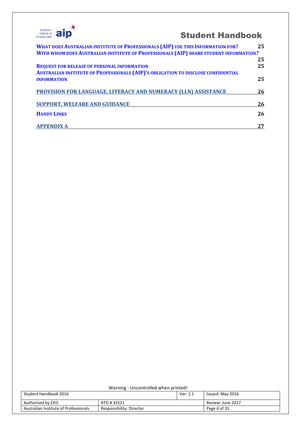

| Warning - Uncontrolled when printed!                              |  |                   |                  |
|-------------------------------------------------------------------|--|-------------------|------------------|
| Student Handbook 2016<br>Ver: 2.1                                 |  |                   | Issued: May 2016 |
| Authorised by CEO<br>RTO #32521                                   |  | Review: June 2017 |                  |
| Australian Institute of Professionals<br>Responsibility: Director |  |                   | Page 4 of 31     |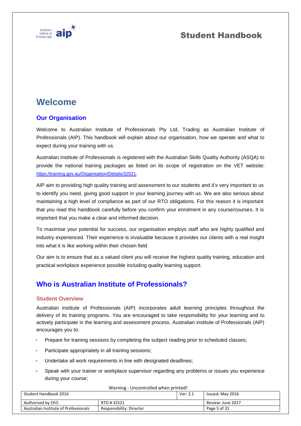

# **Welcome**

### **Our Organisation**

Welcome to Australian Institute of Professionals Pty Ltd, Trading as Australian Institute of Professionals (AIP). This handbook will explain about our organisation, how we operate and what to expect during your training with us.

Australian Institute of Professionals is registered with the Australian Skills Quality Authority (ASQA) to provide the national training packages as listed on its scope of registration on the VET website: <https://training.gov.au/Organisation/Details/32521>.

AIP aim to providing high quality training and assessment to our students and it's very important to us to identify you need, giving good support in your learning journey with us. We are also serious about maintaining a high level of compliance as part of our RTO obligations. For this reason it is important that you read this handbook carefully before you confirm your enrolment in any course/courses. It is important that you make a clear and informed decision.

To maximise your potential for success, our organisation employs staff who are highly qualified and industry experienced. Their experience is invaluable because it provides our clients with a real insight into what it is like working within their chosen field

Our aim is to ensure that as a valued client you will receive the highest quality training, education and practical workplace experience possible including quality learning support.

# **Who is Australian Institute of Professionals?**

### **Student Overview**

Australian institute of Professionals (AIP) incorporates adult learning principles throughout the delivery of its training programs. You are encouraged to take responsibility for your learning and to actively participate in the learning and assessment process. Australian institute of Professionals (AIP) encourages you to:

- Prepare for training sessions by completing the subject reading prior to scheduled classes;
- Participate appropriately in all training sessions;
- Undertake all work requirements in line with designated deadlines;
- Speak with your trainer or workplace supervisor regarding any problems or issues you experience during your course;

| Student Handbook 2016                 | <b>Warning - Uncontrolled Writer printed:</b> | Ver: 2.1 | Issued: May 2016  |
|---------------------------------------|-----------------------------------------------|----------|-------------------|
| Authorised by CEO                     | RTO #32521                                    |          | Review: June 2017 |
| Australian Institute of Professionals | Responsibility: Director                      |          | Page 5 of 31      |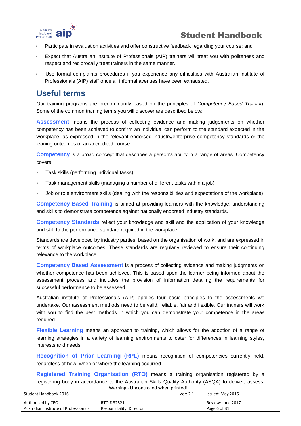

- Participate in evaluation activities and offer constructive feedback regarding your course; and
- Expect that Australian institute of Professionals (AIP) trainers will treat you with politeness and respect and reciprocally treat trainers in the same manner.
- Use formal complaints procedures if you experience any difficulties with Australian institute of Professionals (AIP) staff once all informal avenues have been exhausted.

# **Useful terms**

Our training programs are predominantly based on the principles of *Competency Based Training*. Some of the common training terms you will discover are described below:

**Assessment** means the process of collecting evidence and making judgements on whether competency has been achieved to confirm an individual can perform to the standard expected in the workplace, as expressed in the relevant endorsed industry/enterprise competency standards or the leaning outcomes of an accredited course.

**Competency** is a broad concept that describes a person's ability in a range of areas. Competency covers:

- Task skills (performing individual tasks)
- Task management skills (managing a number of different tasks within a job)
- Job or role environment skills (dealing with the responsibilities and expectations of the workplace)

**Competency Based Training** is aimed at providing learners with the knowledge, understanding and skills to demonstrate competence against nationally endorsed industry standards.

**Competency Standards** reflect your knowledge and skill and the application of your knowledge and skill to the performance standard required in the workplace.

Standards are developed by industry parties, based on the organisation of work, and are expressed in terms of workplace outcomes. These standards are regularly reviewed to ensure their continuing relevance to the workplace.

**Competency Based Assessment** is a process of collecting evidence and making judgments on whether competence has been achieved. This is based upon the learner being informed about the assessment process and includes the provision of information detailing the requirements for successful performance to be assessed.

Australian institute of Professionals (AIP) applies four basic principles to the assessments we undertake. Our assessment methods need to be valid, reliable, fair and flexible. Our trainers will work with you to find the best methods in which you can demonstrate your competence in the areas required.

**Flexible Learning** means an approach to training, which allows for the adoption of a range of learning strategies in a variety of learning environments to cater for differences in learning styles, interests and needs.

**Recognition of Prior Learning (RPL)** means recognition of competencies currently held, regardless of how, when or where the learning occurred.

Warning - Uncontrolled when printed! **Registered Training Organisation (RTO)** means a training organisation registered by a registering body in accordance to the Australian Skills Quality Authority (ASQA) to deliver, assess,

| Student Handbook 2016                 |                          | Ver: 2.1 | Issued: May 2016  |
|---------------------------------------|--------------------------|----------|-------------------|
| Authorised by CEO                     | RTO #32521               |          | Review: June 2017 |
| Australian Institute of Professionals | Responsibility: Director |          | Page 6 of 31      |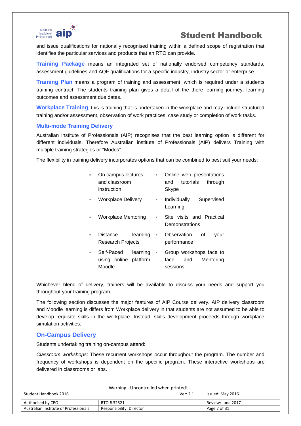

and issue qualifications for nationally recognised training within a defined scope of registration that identifies the particular services and products that an RTO can provide.

**Training Package** means an integrated set of nationally endorsed competency standards, assessment guidelines and AQF qualifications for a specific industry, industry sector or enterprise.

**Training Plan** means a program of training and assessment, which is required under a students training contract. The students training plan gives a detail of the there learning journey, learning outcomes and assessment due dates.

**Workplace Training**, this is training that is undertaken in the workplace and may include structured training and/or assessment, observation of work practices, case study or completion of work tasks.

#### **Multi-mode Training Delivery**

Australian institute of Professionals (AIP) recognises that the best learning option is different for different individuals. Therefore Australian institute of Professionals (AIP) delivers Training with multiple training strategies or "Modes".

The flexibility in training delivery incorporates options that can be combined to best suit your needs:

| ×              | On campus lectures<br>and classroom<br>instruction | ٠                          | Online web presentations<br>tutorials<br>and<br>through<br><b>Skype</b> |
|----------------|----------------------------------------------------|----------------------------|-------------------------------------------------------------------------|
| $\blacksquare$ | <b>Workplace Delivery</b>                          | a.                         | Individually<br>Supervised<br>Learning                                  |
| $\equiv$       | Workplace Mentoring                                | $\equiv$                   | Site visits and Practical<br>Demonstrations                             |
| ×              | Distance<br>Research Projects                      | learning<br>$\blacksquare$ | Observation<br>οf<br>vour<br>performance                                |
| ×              | Self-Paced<br>using online platform<br>Moodle.     | learning<br>$\blacksquare$ | Group workshops face to<br>and<br>face<br>Mentoring<br>sessions         |

Whichever blend of delivery, trainers will be available to discuss your needs and support you throughout your training program.

The following section discusses the major features of AIP Course delivery. AIP delivery classroom and Moodle learning is differs from Workplace delivery in that students are not assumed to be able to develop requisite skills in the workplace. Instead, skills development proceeds through workplace simulation activities.

### **On-Campus Delivery**

Students undertaking training on-campus attend:

*Classroom workshops*: These recurrent workshops occur throughout the program. The number and frequency of workshops is dependent on the specific program. These interactive workshops are delivered in classrooms or labs.

| <b>Warning - Uncontrolled Wrigh printed!</b>                      |            |          |                   |
|-------------------------------------------------------------------|------------|----------|-------------------|
| Student Handbook 2016                                             |            | Ver: 2.1 | Issued: May 2016  |
| Authorised by CEO                                                 | RTO #32521 |          | Review: June 2017 |
| Australian Institute of Professionals<br>Responsibility: Director |            |          | Page 7 of 31      |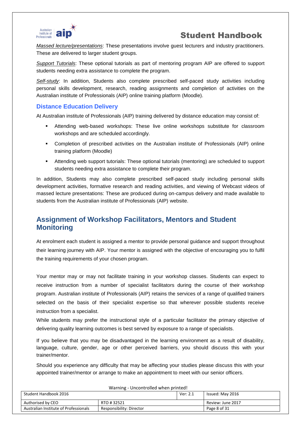

*Massed lecture/presentations*: These presentations involve guest lecturers and industry practitioners. These are delivered to larger student groups.

*Support Tutorials*: These optional tutorials as part of mentoring program AIP are offered to support students needing extra assistance to complete the program.

*Self-study*: In addition, Students also complete prescribed self-paced study activities including personal skills development, research, reading assignments and completion of activities on the Australian institute of Professionals (AIP) online training platform (Moodle).

### **Distance Education Delivery**

At Australian institute of Professionals (AIP) training delivered by distance education may consist of:

- Attending web-based workshops: These live online workshops substitute for classroom workshops and are scheduled accordingly.
- Completion of prescribed activities on the Australian institute of Professionals (AIP) online training platform (Moodle)
- Attending web support tutorials: These optional tutorials (mentoring) are scheduled to support students needing extra assistance to complete their program.

In addition, Students may also complete prescribed self-paced study including personal skills development activities, formative research and reading activities, and viewing of Webcast videos of massed lecture presentations: These are produced during on-campus delivery and made available to students from the Australian institute of Professionals (AIP) website.

### **Assignment of Workshop Facilitators, Mentors and Student Monitoring**

At enrolment each student is assigned a mentor to provide personal guidance and support throughout their learning journey with AIP. Your mentor is assigned with the objective of encouraging you to fulfil the training requirements of your chosen program.

Your mentor may or may not facilitate training in your workshop classes. Students can expect to receive instruction from a number of specialist facilitators during the course of their workshop program. Australian institute of Professionals (AIP) retains the services of a range of qualified trainers selected on the basis of their specialist expertise so that wherever possible students receive instruction from a specialist.

While students may prefer the instructional style of a particular facilitator the primary objective of delivering quality learning outcomes is best served by exposure to a range of specialists.

If you believe that you may be disadvantaged in the learning environment as a result of disability, language, culture, gender, age or other perceived barriers, you should discuss this with your trainer/mentor.

Should you experience any difficulty that may be affecting your studies please discuss this with your appointed trainer/mentor or arrange to make an appointment to meet with our senior officers.

| <b>Warning - Uncontrolled Writer printed:</b><br>Student Handbook 2016<br>Ver: 2.1 |                          |  | Issued: May 2016  |
|------------------------------------------------------------------------------------|--------------------------|--|-------------------|
| Authorised by CEO                                                                  | RTO #32521               |  | Review: June 2017 |
| Australian Institute of Professionals                                              | Responsibility: Director |  | Page 8 of 31      |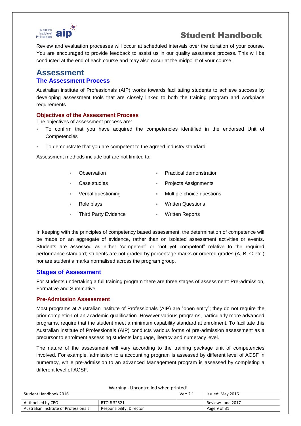

Review and evaluation processes will occur at scheduled intervals over the duration of your course. You are encouraged to provide feedback to assist us in our quality assurance process. This will be conducted at the end of each course and may also occur at the midpoint of your course.

### **Assessment The Assessment Process**

Australian institute of Professionals (AIP) works towards facilitating students to achieve success by developing assessment tools that are closely linked to both the training program and workplace requirements

#### **Objectives of the Assessment Process**

The objectives of assessment process are*:*

- To confirm that you have acquired the competencies identified in the endorsed Unit of **Competencies**
- To demonstrate that you are competent to the agreed industry standard

Assessment methods include but are not limited to:

|          | Observation                 | Practical demonstration     |
|----------|-----------------------------|-----------------------------|
| $\alpha$ | Case studies                | <b>Projects Assignments</b> |
| $\sim$   | Verbal questioning          | Multiple choice questions   |
|          | Role plays                  | <b>Written Questions</b>    |
|          | <b>Third Party Evidence</b> | <b>Written Reports</b>      |

In keeping with the principles of competency based assessment, the determination of competence will be made on an aggregate of evidence, rather than on isolated assessment activities or events. Students are assessed as either "competent" or "not yet competent" relative to the required performance standard; students are not graded by percentage marks or ordered grades (A, B, C etc.) nor are student's marks normalised across the program group.

### **Stages of Assessment**

For students undertaking a full training program there are three stages of assessment: Pre-admission, Formative and Summative.

### **Pre-Admission Assessment**

Most programs at Australian institute of Professionals (AIP) are "open entry"; they do not require the prior completion of an academic qualification. However various programs, particularly more advanced programs, require that the student meet a minimum capability standard at enrolment. To facilitate this Australian institute of Professionals (AIP) conducts various forms of pre-admission assessment as a precursor to enrolment assessing students language, literacy and numeracy level.

The nature of the assessment will vary according to the training package unit of competencies involved. For example, admission to a accounting program is assessed by different level of ACSF in numeracy, while pre-admission to an advanced Management program is assessed by completing a different level of ACSF.

| Warning - Uncontrolled when printed!                              |  |          |                   |
|-------------------------------------------------------------------|--|----------|-------------------|
| Student Handbook 2016                                             |  | Ver: 2.1 | Issued: May 2016  |
| Authorised by CEO<br>RTO #32521                                   |  |          | Review: June 2017 |
| Australian Institute of Professionals<br>Responsibility: Director |  |          | Page 9 of 31      |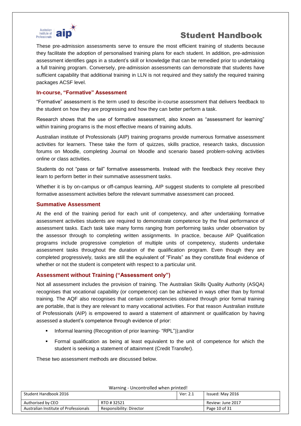

These pre-admission assessments serve to ensure the most efficient training of students because they facilitate the adoption of personalised training plans for each student. In addition, pre-admission assessment identifies gaps in a student's skill or knowledge that can be remedied prior to undertaking a full training program. Conversely, pre-admission assessments can demonstrate that students have sufficient capability that additional training in LLN is not required and they satisfy the required training packages ACSF level.

#### **In-course, "Formative" Assessment**

"Formative" assessment is the term used to describe in-course assessment that delivers feedback to the student on how they are progressing and how they can better perform a task.

Research shows that the use of formative assessment, also known as "assessment for learning" within training programs is the most effective means of training adults.

Australian institute of Professionals (AIP) training programs provide numerous formative assessment activities for learners. These take the form of quizzes, skills practice, research tasks, discussion forums on Moodle, completing Journal on Moodle and scenario based problem-solving activities online or class activities.

Students do not "pass or fail" formative assessments. Instead with the feedback they receive they learn to perform better in their summative assessment tasks.

Whether it is by on-campus or off-campus learning, AIP suggest students to complete all prescribed formative assessment activities before the relevant summative assessment can proceed.

#### **Summative Assessment**

At the end of the training period for each unit of competency, and after undertaking formative assessment activities students are required to demonstrate competence by the final performance of assessment tasks. Each task take many forms ranging from performing tasks under observation by the assessor through to completing written assignments. In practice, because AIP Qualification programs include progressive completion of multiple units of competency, students undertake assessment tasks throughout the duration of the qualification program. Even though they are completed progressively, tasks are still the equivalent of "Finals" as they constitute final evidence of whether or not the student is competent with respect to a particular unit.

### **Assessment without Training ("Assessment only")**

Not all assessment includes the provision of training. The Australian Skills Quality Authority (ASQA) recognises that vocational capability (or competence) can be achieved in ways other than by formal training. The AQF also recognises that certain competencies obtained through prior formal training are portable, that is they are relevant to many vocational activities. For that reason Australian institute of Professionals (AIP) is empowered to award a statement of attainment or qualification by having assessed a student's competence through evidence of prior:

- Informal learning (Recognition of prior learning- "RPL"));and/or
- Formal qualification as being at least equivalent to the unit of competence for which the student is seeking a statement of attainment (Credit Transfer).

These two assessment methods are discussed below.

| warning - Uncontrolled when printed!  |                          |          |                   |
|---------------------------------------|--------------------------|----------|-------------------|
| Student Handbook 2016                 |                          | Ver: 2.1 | Issued: May 2016  |
| Authorised by CEO                     | RTO #32521               |          | Review: June 2017 |
| Australian Institute of Professionals | Responsibility: Director |          | Page 10 of 31     |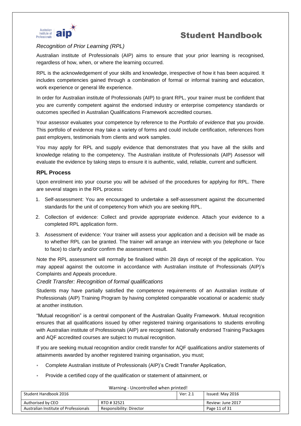

### *Recognition of Prior Learning (RPL)*

Australian institute of Professionals (AIP) aims to ensure that your prior learning is recognised, regardless of how, when, or where the learning occurred.

RPL is the acknowledgement of your skills and knowledge, irrespective of how it has been acquired. It includes competencies gained through a combination of formal or informal training and education, work experience or general life experience.

In order for Australian institute of Professionals (AIP) to grant RPL, your trainer must be confident that you are currently competent against the endorsed industry or enterprise competency standards or outcomes specified in Australian Qualifications Framework accredited courses.

Your assessor evaluates your competence by reference to the *Portfolio of evidence* that you provide. This portfolio of evidence may take a variety of forms and could include certification, references from past employers, testimonials from clients and work samples.

You may apply for RPL and supply evidence that demonstrates that you have all the skills and knowledge relating to the competency. The Australian institute of Professionals (AIP) Assessor will evaluate the evidence by taking steps to ensure it is authentic, valid, reliable, current and sufficient.

### **RPL Process**

Upon enrolment into your course you will be advised of the procedures for applying for RPL. There are several stages in the RPL process:

- 1. Self-assessment: You are encouraged to undertake a self-assessment against the documented standards for the unit of competency from which you are seeking RPL.
- 2. Collection of evidence: Collect and provide appropriate evidence. Attach your evidence to a completed RPL application form.
- 3. Assessment of evidence: Your trainer will assess your application and a decision will be made as to whether RPL can be granted. The trainer will arrange an interview with you (telephone or face to face) to clarify and/or confirm the assessment result.

Note the RPL assessment will normally be finalised within 28 days of receipt of the application. You may appeal against the outcome in accordance with Australian institute of Professionals (AIP)'s Complaints and Appeals procedure.

#### *Credit Transfer: Recognition of formal qualifications*

Students may have partially satisfied the competence requirements of an Australian institute of Professionals (AIP) Training Program by having completed comparable vocational or academic study at another institution.

"Mutual recognition" is a central component of the Australian Quality Framework. Mutual recognition ensures that all qualifications issued by other registered training organisations to students enrolling with Australian institute of Professionals (AIP) are recognised. Nationally endorsed Training Packages and AQF accredited courses are subject to mutual recognition.

If you are seeking mutual recognition and/or credit transfer for AQF qualifications and/or statements of attainments awarded by another registered training organisation, you must;

- Complete Australian institute of Professionals (AIP)'s Credit Transfer Application,
- Provide a certified copy of the qualification or statement of attainment, or

| warning - Uncontrolled when printed!  |                          |          |                   |  |
|---------------------------------------|--------------------------|----------|-------------------|--|
| Student Handbook 2016                 |                          | Ver: 2.1 | Issued: May 2016  |  |
| Authorised by CEO                     | RTO #32521               |          | Review: June 2017 |  |
| Australian Institute of Professionals | Responsibility: Director |          | Page 11 of 31     |  |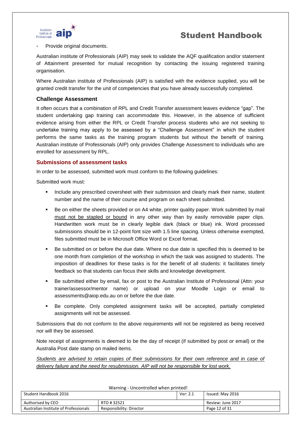

#### Provide original documents.

Australian institute of Professionals (AIP) may seek to validate the AQF qualification and/or statement of Attainment presented for mutual recognition by contacting the issuing registered training organisation.

Where Australian institute of Professionals (AIP) is satisfied with the evidence supplied, you will be granted credit transfer for the unit of competencies that you have already successfully completed.

#### **Challenge Assessment**

It often occurs that a combination of RPL and Credit Transfer assessment leaves evidence "gap". The student undertaking gap training can accommodate this. However, in the absence of sufficient evidence arising from either the RPL or Credit Transfer process students who are not seeking to undertake training may apply to be assessed by a "Challenge Assessment" in which the student performs the same tasks as the training program students but without the benefit of training. Australian institute of Professionals (AIP) only provides Challenge Assessment to individuals who are enrolled for assessment by RPL.

#### **Submissions of assessment tasks**

In order to be assessed, submitted work must conform to the following guidelines:

Submitted work must:

- Include any prescribed coversheet with their submission and clearly mark their name, student number and the name of their course and program on each sheet submitted.
- Be on either the sheets provided or on A4 white, printer quality paper. Work submitted by mail must not be stapled or bound in any other way than by easily removable paper clips. Handwritten work must be in clearly legible dark (black or blue) ink. Word processed submissions should be in 12-point font size with 1.5 line spacing. Unless otherwise exempted, files submitted must be in Microsoft Office Word or Excel format.
- Be submitted on or before the due date. Where no due date is specified this is deemed to be one month from completion of the workshop in which the task was assigned to students. The imposition of deadlines for these tasks is for the benefit of all students: it facilitates timely feedback so that students can focus their skills and knowledge development.
- Be submitted either by email, fax or post to the Australian Institute of Professional (Attn: your trainer/assessor/mentor name) or upload on your Moodle Login or email to assessments@aiop.edu.au on or before the due date.
- Be complete. Only completed assignment tasks will be accepted, partially completed assignments will not be assessed.

Submissions that do not conform to the above requirements will not be registered as being received nor will they be assessed.

Note receipt of assignments is deemed to be the day of receipt (if submitted by post or email) or the Australia Post date stamp on mailed items.

*Students are advised to retain copies of their submissions for their own reference and in case of delivery failure and the need for resubmission. AIP will not be responsible for lost work.*

| warning - Uncontrolled when printed!                                               |            |          |                   |  |
|------------------------------------------------------------------------------------|------------|----------|-------------------|--|
| Student Handbook 2016                                                              |            | Ver: 2.1 | Issued: May 2016  |  |
| Authorised by CEO                                                                  | RTO #32521 |          | Review: June 2017 |  |
| Australian Institute of Professionals<br>Page 12 of 31<br>Responsibility: Director |            |          |                   |  |

Warning - Uncontrolled when printed when printed when printed when printed when printed when printed when printed when printed when  $\mathbf{U}$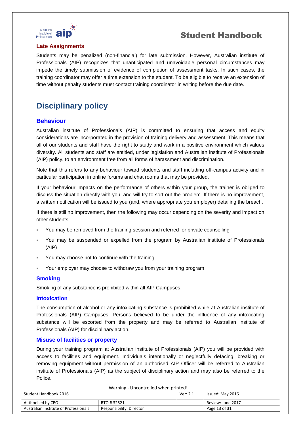

#### **Late Assignments**

Students may be penalized (non-financial) for late submission. However, Australian institute of Professionals (AIP) recognizes that unanticipated and unavoidable personal circumstances may impede the timely submission of evidence of completion of assessment tasks. In such cases, the training coordinator may offer a time extension to the student. To be eligible to receive an extension of time without penalty students must contact training coordinator in writing before the due date.

# **Disciplinary policy**

### **Behaviour**

Australian institute of Professionals (AIP) is committed to ensuring that access and equity considerations are incorporated in the provision of training delivery and assessment. This means that all of our students and staff have the right to study and work in a positive environment which values diversity. All students and staff are entitled, under legislation and Australian institute of Professionals (AIP) policy, to an environment free from all forms of harassment and discrimination.

Note that this refers to any behaviour toward students and staff including off-campus activity and in particular participation in online forums and chat rooms that may be provided.

If your behaviour impacts on the performance of others within your group, the trainer is obliged to discuss the situation directly with you, and will try to sort out the problem. If there is no improvement, a written notification will be issued to you (and, where appropriate you employer) detailing the breach.

If there is still no improvement, then the following may occur depending on the severity and impact on other students;

- You may be removed from the training session and referred for private counselling
- You may be suspended or expelled from the program by Australian institute of Professionals (AIP)
- You may choose not to continue with the training
- Your employer may choose to withdraw you from your training program

#### **Smoking**

Smoking of any substance is prohibited within all AIP Campuses.

#### **Intoxication**

The consumption of alcohol or any intoxicating substance is prohibited while at Australian institute of Professionals (AIP) Campuses. Persons believed to be under the influence of any intoxicating substance will be escorted from the property and may be referred to Australian institute of Professionals (AIP) for disciplinary action.

#### **Misuse of facilities or property**

During your training program at Australian institute of Professionals (AIP) you will be provided with access to facilities and equipment. Individuals intentionally or neglectfully defacing, breaking or removing equipment without permission of an authorised AIP Officer will be referred to Australian institute of Professionals (AIP) as the subject of disciplinary action and may also be referred to the Police.

| Warning - Uncontrolled when printed!  |                          |          |                   |  |
|---------------------------------------|--------------------------|----------|-------------------|--|
| Student Handbook 2016                 |                          | Ver: 2.1 | Issued: May 2016  |  |
| Authorised by CEO                     | RTO #32521               |          | Review: June 2017 |  |
| Australian Institute of Professionals | Responsibility: Director |          | Page 13 of 31     |  |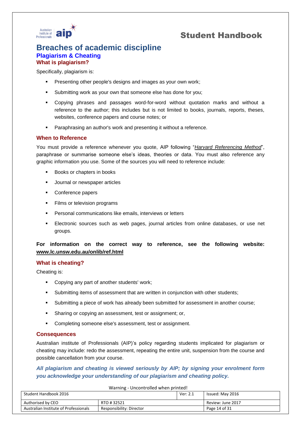

### **Breaches of academic discipline Plagiarism & Cheating What is plagiarism?**

Specifically, plagiarism is:

- **Presenting other people's designs and images as your own work;**
- Submitting work as your own that someone else has done for you;
- Copying phrases and passages word-for-word without quotation marks and without a reference to the author; this includes but is not limited to books, journals, reports, theses, websites, conference papers and course notes; or
- **Paraphrasing an author's work and presenting it without a reference.**

### **When to Reference**

You must provide a reference whenever you quote, AIP following "*Harvard Referencing Method*", paraphrase or summarise someone else's ideas, theories or data. You must also reference any graphic information you use. Some of the sources you will need to reference include:

- Books or chapters in books
- **Journal or newspaper articles**
- Conference papers
- **Films or television programs**
- **Personal communications like emails, interviews or letters**
- Electronic sources such as web pages, journal articles from online databases, or use net groups.

### **For information on the correct way to reference, see the following website: [www.lc.unsw.edu.au/onlib/ref.html](http://www.lc.unsw.edu.au/onlib/ref.html)**

#### **What is cheating?**

Cheating is:

- **Copying any part of another students' work;**
- Submitting items of assessment that are written in conjunction with other students;
- Submitting a piece of work has already been submitted for assessment in another course;
- Sharing or copying an assessment, test or assignment; or,
- **Completing someone else's assessment, test or assignment.**

### **Consequences**

Australian institute of Professionals (AIP)'s policy regarding students implicated for plagiarism or cheating may include: redo the assessment, repeating the entire unit, suspension from the course and possible cancellation from your course.

### *All plagiarism and cheating is viewed seriously by AIP; by signing your enrolment form you acknowledge your understanding of our plagiarism and cheating policy.*

| <b>Walling - Uncontrolled Wilen printed:</b> |                          |          |                   |  |
|----------------------------------------------|--------------------------|----------|-------------------|--|
| Student Handbook 2016                        |                          | Ver: 2.1 | Issued: May 2016  |  |
| Authorised by CEO                            | RTO #32521               |          | Review: June 2017 |  |
| Australian Institute of Professionals        | Responsibility: Director |          | Page 14 of 31     |  |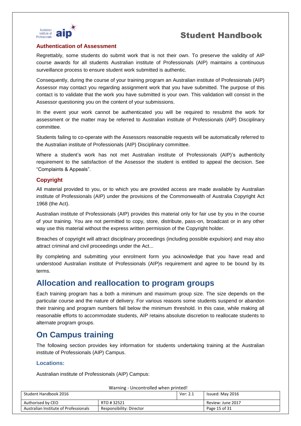



#### **Authentication of Assessment**

Regrettably, some students do submit work that is not their own. To preserve the validity of AIP course awards for all students Australian institute of Professionals (AIP) maintains a continuous surveillance process to ensure student work submitted is authentic.

Consequently, during the course of your training program an Australian institute of Professionals (AIP) Assessor may contact you regarding assignment work that you have submitted. The purpose of this contact is to validate that the work you have submitted is your own. This validation will consist in the Assessor questioning you on the content of your submissions.

In the event your work cannot be authenticated you will be required to resubmit the work for assessment or the matter may be referred to Australian institute of Professionals (AIP) Disciplinary committee.

Students failing to co-operate with the Assessors reasonable requests will be automatically referred to the Australian institute of Professionals (AIP) Disciplinary committee.

Where a student's work has not met Australian institute of Professionals (AIP)'s authenticity requirement to the satisfaction of the Assessor the student is entitled to appeal the decision. See "Complaints & Appeals".

### **Copyright**

All material provided to you, or to which you are provided access are made available by Australian institute of Professionals (AIP) under the provisions of the Commonwealth of Australia Copyright Act 1968 (the Act).

Australian institute of Professionals (AIP) provides this material only for fair use by you in the course of your training. You are not permitted to copy, store, distribute, pass-on, broadcast or in any other way use this material without the express written permission of the Copyright holder.

Breaches of copyright will attract disciplinary proceedings (including possible expulsion) and may also attract criminal and civil proceedings under the Act...

By completing and submitting your enrolment form you acknowledge that you have read and understood Australian institute of Professionals (AIP)s requirement and agree to be bound by its terms.

### **Allocation and reallocation to program groups**

Each training program has a both a minimum and maximum group size. The size depends on the particular course and the nature of delivery. For various reasons some students suspend or abandon their training and program numbers fall below the minimum threshold. In this case, while making all reasonable efforts to accommodate students, AIP retains absolute discretion to reallocate students to alternate program groups.

# **On Campus training**

The following section provides key information for students undertaking training at the Australian institute of Professionals (AIP) Campus.

### **Locations:**

Australian institute of Professionals (AIP) Campus:

| Student Handbook 2016                 |                          | Ver: 2.1 | Issued: May 2016  |  |
|---------------------------------------|--------------------------|----------|-------------------|--|
| Authorised by CEO                     | RTO #32521               |          | Review: June 2017 |  |
| Australian Institute of Professionals | Responsibility: Director |          | Page 15 of 31     |  |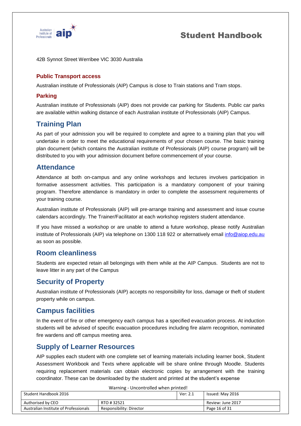

#### 42B Synnot Street Werribee VIC 3030 Australia

### **Public Transport access**

Australian institute of Professionals (AIP) Campus is close to Train stations and Tram stops.

### **Parking**

Australian institute of Professionals (AIP) does not provide car parking for Students. Public car parks are available within walking distance of each Australian institute of Professionals (AIP) Campus.

### **Training Plan**

As part of your admission you will be required to complete and agree to a training plan that you will undertake in order to meet the educational requirements of your chosen course. The basic training plan document (which contains the Australian institute of Professionals (AIP) course program) will be distributed to you with your admission document before commencement of your course.

### **Attendance**

Attendance at both on-campus and any online workshops and lectures involves participation in formative assessment activities. This participation is a mandatory component of your training program. Therefore attendance is mandatory in order to complete the assessment requirements of your training course.

Australian institute of Professionals (AIP) will pre-arrange training and assessment and issue course calendars accordingly. The Trainer/Facilitator at each workshop registers student attendance.

If you have missed a workshop or are unable to attend a future workshop, please notify Australian institute of Professionals (AIP) via telephone on 1300 118 922 or alternatively email info@aiop.edu.au as soon as possible.

### **Room cleanliness**

Students are expected retain all belongings with them while at the AIP Campus. Students are not to leave litter in any part of the Campus

### **Security of Property**

Australian institute of Professionals (AIP) accepts no responsibility for loss, damage or theft of student property while on campus.

### **Campus facilities**

In the event of fire or other emergency each campus has a specified evacuation process. At induction students will be advised of specific evacuation procedures including fire alarm recognition, nominated fire wardens and off campus meeting area.

### **Supply of Learner Resources**

AIP supplies each student with one complete set of learning materials including learner book, Student Assessment Workbook and Texts where applicable will be share online through Moodle. Students requiring replacement materials can obtain electronic copies by arrangement with the training coordinator. These can be downloaded by the student and printed at the student's expense

| Student Handbook 2016                 |                          | Ver: 2.1 | Issued: May 2016  |
|---------------------------------------|--------------------------|----------|-------------------|
| Authorised by CEO                     | RTO #32521               |          | Review: June 2017 |
| Australian Institute of Professionals | Responsibility: Director |          | Page 16 of 31     |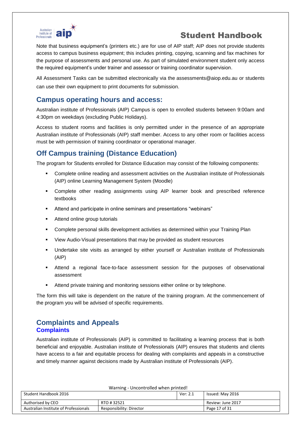

Note that business equipment's (printers etc.) are for use of AIP staff; AIP does not provide students access to campus business equipment; this includes printing, copying, scanning and fax machines for the purpose of assessments and personal use. As part of simulated environment student only access the required equipment's under trainer and assessor or training coordinator supervision.

All Assessment Tasks can be submitted electronically via the assessments@aiop.edu.au or students can use their own equipment to print documents for submission.

### **Campus operating hours and access:**

Australian institute of Professionals (AIP) Campus is open to enrolled students between 9:00am and 4:30pm on weekdays (excluding Public Holidays).

Access to student rooms and facilities is only permitted under in the presence of an appropriate Australian institute of Professionals (AIP) staff member. Access to any other room or facilities access must be with permission of training coordinator or operational manager.

# **Off Campus training (Distance Education)**

The program for Students enrolled for Distance Education may consist of the following components:

- Complete online reading and assessment activities on the Australian institute of Professionals (AIP) online Learning Management System (Moodle)
- Complete other reading assignments using AIP learner book and prescribed reference textbooks
- Attend and participate in online seminars and presentations "webinars"
- **Attend online group tutorials**
- Complete personal skills development activities as determined within your Training Plan
- View Audio-Visual presentations that may be provided as student resources
- Undertake site visits as arranged by either yourself or Australian institute of Professionals (AIP)
- Attend a regional face-to-face assessment session for the purposes of observational assessment
- Attend private training and monitoring sessions either online or by telephone.

The form this will take is dependent on the nature of the training program. At the commencement of the program you will be advised of specific requirements.

### **Complaints and Appeals Complaints**

Australian institute of Professionals (AIP) is committed to facilitating a learning process that is both beneficial and enjoyable. Australian institute of Professionals (AIP) ensures that students and clients have access to a fair and equitable process for dealing with complaints and appeals in a constructive and timely manner against decisions made by Australian institute of Professionals (AIP).

| warning - Uncontrolled when printed!                                               |            |  |                   |  |
|------------------------------------------------------------------------------------|------------|--|-------------------|--|
| Student Handbook 2016                                                              |            |  | Issued: May 2016  |  |
| Authorised by CEO                                                                  | RTO #32521 |  | Review: June 2017 |  |
| Australian Institute of Professionals<br>Page 17 of 31<br>Responsibility: Director |            |  |                   |  |

Warning - Uncontrolled when printed when printed when printed when printed when printed when printed when printed when printed when  $\mathbf{U}$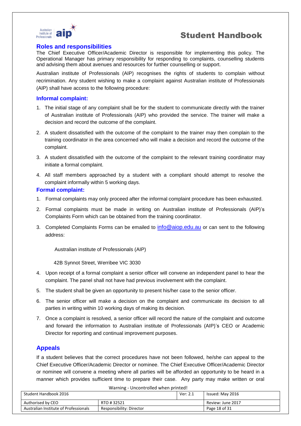

#### **Roles and responsibilities**

The Chief Executive Officer/Academic Director is responsible for implementing this policy. The Operational Manager has primary responsibility for responding to complaints, counselling students and advising them about avenues and resources for further counselling or support.

Australian institute of Professionals (AIP) recognises the rights of students to complain without recrimination. Any student wishing to make a complaint against Australian institute of Professionals (AIP) shall have access to the following procedure:

#### **Informal complaint:**

- 1. The initial stage of any complaint shall be for the student to communicate directly with the trainer of Australian institute of Professionals (AIP) who provided the service. The trainer will make a decision and record the outcome of the complaint.
- 2. A student dissatisfied with the outcome of the complaint to the trainer may then complain to the training coordinator in the area concerned who will make a decision and record the outcome of the complaint.
- 3. A student dissatisfied with the outcome of the complaint to the relevant training coordinator may initiate a formal complaint.
- 4. All staff members approached by a student with a compliant should attempt to resolve the complaint informally within 5 working days.

#### **Formal complaint:**

- 1. Formal complaints may only proceed after the informal complaint procedure has been exhausted.
- 2. Formal complaints must be made in writing on Australian institute of Professionals (AIP)'s Complaints Form which can be obtained from the training coordinator.
- 3. Completed Complaints Forms can be emailed to info@aiop.edu.au or can sent to the following address:

Australian institute of Professionals (AIP)

42B Synnot Street, Werribee VIC 3030

- 4. Upon receipt of a formal complaint a senior officer will convene an independent panel to hear the complaint. The panel shall not have had previous involvement with the complaint.
- 5. The student shall be given an opportunity to present his/her case to the senior officer.
- 6. The senior officer will make a decision on the complaint and communicate its decision to all parties in writing within 10 working days of making its decision.
- 7. Once a complaint is resolved, a senior officer will record the nature of the complaint and outcome and forward the information to Australian institute of Professionals (AIP)'s CEO or Academic Director for reporting and continual improvement purposes.

### **Appeals**

If a student believes that the correct procedures have not been followed, he/she can appeal to the Chief Executive Officer/Academic Director or nominee. The Chief Executive Officer/Academic Director or nominee will convene a meeting where all parties will be afforded an opportunity to be heard in a manner which provides sufficient time to prepare their case. Any party may make written or oral

Warning - Uncontrolled when printed! Student Handbook 2016 Ver: 2.1 Issued: May 2016 Authorised by CEO **RTO # 32521** RTO # 32521 Australian Institute of Professionals Responsibility: Director Page 18 of 31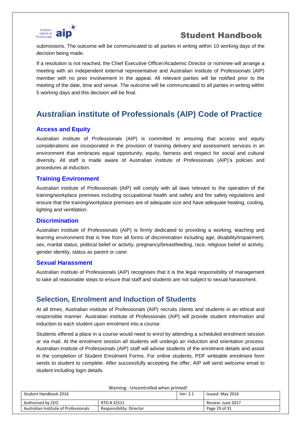

submissions. The outcome will be communicated to all parties in writing within 10 working days of the decision being made.

If a resolution is not reached, the Chief Executive Officer/Academic Director or nominee will arrange a meeting with an independent external representative and Australian institute of Professionals (AIP) member with no prior involvement in the appeal. All relevant parties will be notified prior to the meeting of the date, time and venue. The outcome will be communicated to all parties in writing within 5 working days and this decision will be final.

# **Australian institute of Professionals (AIP) Code of Practice**

### **Access and Equity**

Australian institute of Professionals (AIP) is committed to ensuring that access and equity considerations are incorporated in the provision of training delivery and assessment services in an environment that embraces equal opportunity, equity, fairness and respect for social and cultural diversity. All staff is made aware of Australian institute of Professionals (AIP)'s policies and procedures at induction.

### **Training Environment**

Australian institute of Professionals (AIP) will comply with all laws relevant to the operation of the training/workplace premises including occupational health and safety and fire safety regulations and ensure that the training/workplace premises are of adequate size and have adequate heating, cooling, lighting and ventilation.

### **Discrimination**

Australian institute of Professionals (AIP) is firmly dedicated to providing a working, teaching and learning environment that is free from all forms of discrimination including age, disability/impairment, sex, marital status, political belief or activity, pregnancy/breastfeeding, race, religious belief or activity, gender identity, status as parent or carer.

### **Sexual Harassment**

Australian institute of Professionals (AIP) recognises that it is the legal responsibility of management to take all reasonable steps to ensure that staff and students are not subject to sexual harassment.

### **Selection, Enrolment and Induction of Students**

At all times, Australian institute of Professionals (AIP) recruits clients and students in an ethical and responsible manner. Australian institute of Professionals (AIP) will provide student information and induction to each student upon enrolment into a course.

Students offered a place in a course would need to enrol by attending a scheduled enrolment session or via mail. At the enrolment session all students will undergo an induction and orientation process. Australian institute of Professionals (AIP) staff will advise students of the enrolment details and assist in the completion of Student Enrolment Forms. For online students, PDF writeable enrolment form sends to student to complete. After successfully accepting the offer, AIP will send welcome email to student including login details.

| Warning - Uncontrolled when printed!                                               |                  |  |                   |  |
|------------------------------------------------------------------------------------|------------------|--|-------------------|--|
| Student Handbook 2016                                                              | Issued: May 2016 |  |                   |  |
| Authorised by CEO                                                                  | RTO #32521       |  | Review: June 2017 |  |
| Australian Institute of Professionals<br>Responsibility: Director<br>Page 19 of 31 |                  |  |                   |  |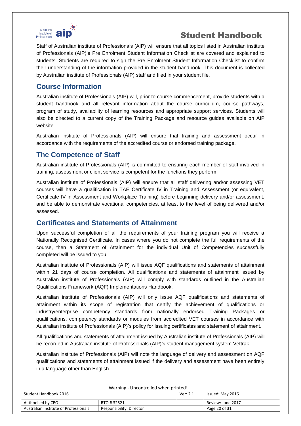

Staff of Australian institute of Professionals (AIP) will ensure that all topics listed in Australian institute of Professionals (AIP)'s Pre Enrolment Student Information Checklist are covered and explained to students. Students are required to sign the Pre Enrolment Student Information Checklist to confirm their understanding of the information provided in the student handbook. This document is collected by Australian institute of Professionals (AIP) staff and filed in your student file.

### **Course Information**

Australian institute of Professionals (AIP) will, prior to course commencement, provide students with a student handbook and all relevant information about the course curriculum, course pathways, program of study, availability of learning resources and appropriate support services. Students will also be directed to a current copy of the Training Package and resource guides available on AIP website.

Australian institute of Professionals (AIP) will ensure that training and assessment occur in accordance with the requirements of the accredited course or endorsed training package.

### **The Competence of Staff**

Australian institute of Professionals (AIP) is committed to ensuring each member of staff involved in training, assessment or client service is competent for the functions they perform.

Australian institute of Professionals (AIP) will ensure that all staff delivering and/or assessing VET courses will have a qualification in TAE Certificate IV in Training and Assessment (or equivalent, Certificate IV in Assessment and Workplace Training) before beginning delivery and/or assessment, and be able to demonstrate vocational competencies, at least to the level of being delivered and/or assessed.

### **Certificates and Statements of Attainment**

Upon successful completion of all the requirements of your training program you will receive a Nationally Recognised Certificate. In cases where you do not complete the full requirements of the course, then a Statement of Attainment for the individual Unit of Competencies successfully completed will be issued to you.

Australian institute of Professionals (AIP) will issue AQF qualifications and statements of attainment within 21 days of course completion. All qualifications and statements of attainment issued by Australian institute of Professionals (AIP) will comply with standards outlined in the Australian Qualifications Framework (AQF) Implementations Handbook.

Australian institute of Professionals (AIP) will only issue AQF qualifications and statements of attainment within its scope of registration that certify the achievement of qualifications or industry/enterprise competency standards from nationally endorsed Training Packages or qualifications, competency standards or modules from accredited VET courses in accordance with Australian institute of Professionals (AIP)'s policy for issuing certificates and statement of attainment.

All qualifications and statements of attainment issued by Australian institute of Professionals (AIP) will be recorded in Australian institute of Professionals (AIP)'s student management system Vettrak.

Australian institute of Professionals (AIP) will note the language of delivery and assessment on AQF qualifications and statements of attainment issued if the delivery and assessment have been entirely in a language other than English.

| warning - Uncontrolled when printed!                                               |             |  |                   |  |
|------------------------------------------------------------------------------------|-------------|--|-------------------|--|
| Student Handbook 2016                                                              |             |  | Issued: May 2016  |  |
| Authorised by CEO                                                                  | RTO # 32521 |  | Review: June 2017 |  |
| Australian Institute of Professionals<br>Page 20 of 31<br>Responsibility: Director |             |  |                   |  |

Warning - Uncontrolled when printed when printed when printed when printed when printed when printed when printed when printed when  $\mathbf{U}$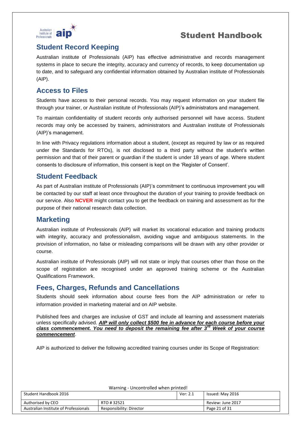

### **Student Record Keeping**

Australian institute of Professionals (AIP) has effective administrative and records management systems in place to secure the integrity, accuracy and currency of records, to keep documentation up to date, and to safeguard any confidential information obtained by Australian institute of Professionals (AIP).

### **Access to Files**

Students have access to their personal records. You may request information on your student file through your trainer, or Australian institute of Professionals (AIP)'s administrators and management.

To maintain confidentiality of student records only authorised personnel will have access. Student records may only be accessed by trainers, administrators and Australian institute of Professionals (AIP)'s management.

In line with Privacy regulations information about a student, (except as required by law or as required under the Standards for RTOs), is not disclosed to a third party without the student's written permission and that of their parent or guardian if the student is under 18 years of age. Where student consents to disclosure of information, this consent is kept on the 'Register of Consent'.

### **Student Feedback**

As part of Australian institute of Professionals (AIP)'s commitment to continuous improvement you will be contacted by our staff at least once throughout the duration of your training to provide feedback on our service. Also **NCVER** might contact you to get the feedback on training and assessment as for the purpose of their national research data collection.

### **Marketing**

Australian institute of Professionals (AIP) will market its vocational education and training products with integrity, accuracy and professionalism, avoiding vague and ambiguous statements. In the provision of information, no false or misleading comparisons will be drawn with any other provider or course.

Australian institute of Professionals (AIP) will not state or imply that courses other than those on the scope of registration are recognised under an approved training scheme or the Australian Qualifications Framework.

### **Fees, Charges, Refunds and Cancellations**

Students should seek information about course fees from the AIP administration or refer to information provided in marketing material and on AIP website.

Published fees and charges are inclusive of GST and include all learning and assessment materials unless specifically advised. *AIP will only collect \$500 fee in advance for each course before your class commencement. You need to deposit the remaining fee after 3rd Week of your course commencement*.

AIP is authorized to deliver the following accredited training courses under its Scope of Registration:

| Warning - Uncontrolled when printed!                  |                          |  |                   |  |
|-------------------------------------------------------|--------------------------|--|-------------------|--|
| Student Handbook 2016<br>Ver: 2.1<br>Issued: May 2016 |                          |  |                   |  |
| Authorised by CEO                                     | RTO #32521               |  | Review: June 2017 |  |
| Australian Institute of Professionals                 | Responsibility: Director |  | Page 21 of 31     |  |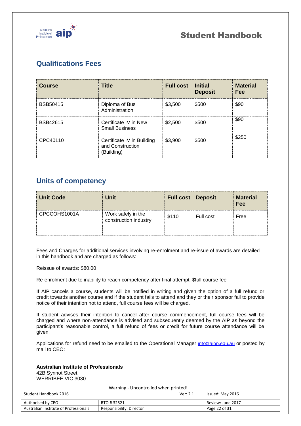

# **Qualifications Fees**

| <b>Course</b>   | <b>Title</b>                                                 | <b>Full cost</b> | <b>Initial</b><br><b>Deposit</b> | <b>Material</b><br>Fee |
|-----------------|--------------------------------------------------------------|------------------|----------------------------------|------------------------|
| <b>BSB50415</b> | Diploma of Bus<br>Administration                             | \$3,500          | \$500                            | \$90                   |
| BSB42615        | Certificate IV in New<br><b>Small Business</b>               | \$2,500          | \$500                            | \$90                   |
| CPC40110        | Certificate IV in Building<br>and Construction<br>(Building) | \$3,900          | \$500                            | \$250                  |

### **Units of competency**

| <b>Unit Code</b> | Unit                                        | <b>Full cost Deposit</b> |           | <b>Material</b><br>Fee |
|------------------|---------------------------------------------|--------------------------|-----------|------------------------|
| CPCCOHS1001A     | Work safely in the<br>construction industry | \$110                    | Full cost | Free                   |

Fees and Charges for additional services involving re-enrolment and re-issue of awards are detailed in this handbook and are charged as follows:

Reissue of awards: \$80.00

Re-enrolment due to inability to reach competency after final attempt: \$full course fee

If AIP cancels a course, students will be notified in writing and given the option of a full refund or credit towards another course and if the student fails to attend and they or their sponsor fail to provide notice of their intention not to attend, full course fees will be charged.

If student advises their intention to cancel after course commencement, full course fees will be charged and where non-attendance is advised and subsequently deemed by the AIP as beyond the participant's reasonable control, a full refund of fees or credit for future course attendance will be given.

Applications for refund need to be emailed to the Operational Manager [info@aiop.edu.au](mailto:info@aiop.edu.au) or posted by mail to CEO:

### **Australian Institute of Professionals**

42B Synnot Street WERRIBEE VIC 3030

| Student Handbook 2016                 |                          | Ver: 2.1 | Issued: May 2016  |
|---------------------------------------|--------------------------|----------|-------------------|
| Authorised by CEO                     | RTO #32521               |          | Review: June 2017 |
| Australian Institute of Professionals | Responsibility: Director |          | Page 22 of 31     |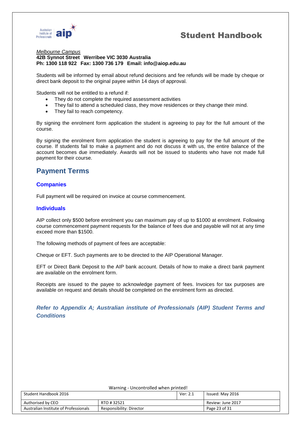



#### *Melbourne Campus*

#### **42B Synnot Street Werribee VIC 3030 Australia Ph: 1300 118 922 Fax: 1300 736 179 Email: [info@aiop.edu.au](mailto:info@aiop.edu.au)**

Students will be informed by email about refund decisions and fee refunds will be made by cheque or direct bank deposit to the original payee within 14 days of approval.

Students will not be entitled to a refund if:

- They do not complete the required assessment activities
- They fail to attend a scheduled class, they move residences or they change their mind.
- They fail to reach competency.

By signing the enrolment form application the student is agreeing to pay for the full amount of the course.

By signing the enrolment form application the student is agreeing to pay for the full amount of the course. If students fail to make a payment and do not discuss it with us, the entire balance of the account becomes due immediately. Awards will not be issued to students who have not made full payment for their course.

### **Payment Terms**

#### **Companies**

Full payment will be required on invoice at course commencement.

#### **Individuals**

AIP collect only \$500 before enrolment you can maximum pay of up to \$1000 at enrolment. Following course commencement payment requests for the balance of fees due and payable will not at any time exceed more than \$1500.

The following methods of payment of fees are acceptable:

Cheque or EFT. Such payments are to be directed to the AIP Operational Manager.

EFT or Direct Bank Deposit to the AIP bank account. Details of how to make a direct bank payment are available on the enrolment form.

Receipts are issued to the payee to acknowledge payment of fees. Invoices for tax purposes are available on request and details should be completed on the enrolment form as directed.

### *Refer to Appendix A; Australian institute of Professionals (AIP) Student Terms and Conditions*

| Warning - Uncontrolled when printed!                              |  |  |                   |  |
|-------------------------------------------------------------------|--|--|-------------------|--|
| Student Handbook 2016<br>Ver: 2.1<br>Issued: May 2016             |  |  |                   |  |
| Authorised by CEO<br>RTO #32521                                   |  |  | Review: June 2017 |  |
| Australian Institute of Professionals<br>Responsibility: Director |  |  | Page 23 of 31     |  |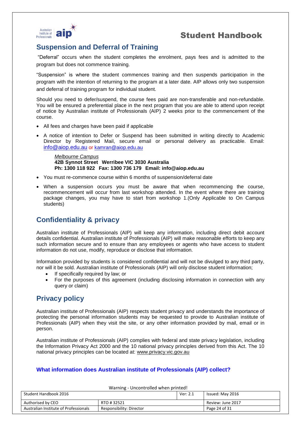



### **Suspension and Deferral of Training**

"Deferral" occurs when the student completes the enrolment, pays fees and is admitted to the program but does not commence training.

"Suspension" is where the student commences training and then suspends participation in the program with the intention of returning to the program at a later date. AIP allows only two suspension and deferral of training program for individual student.

Should you need to defer/suspend, the course fees paid are non-transferable and non-refundable. You will be ensured a preferential place in the next program that you are able to attend upon receipt of notice by Australian institute of Professionals (AIP) 2 weeks prior to the commencement of the course.

- All fees and charges have been paid if applicable
- A notice of intention to Defer or Suspend has been submitted in writing directly to Academic Director by Registered Mail, secure email or personal delivery as practicable. Email: info@aiop.edu.au or [kamran@aiop.edu.au](mailto:kamran@aiop.edu.au)

*Melbourne Campus* **42B Synnot Street Werribee VIC 3030 Australia Ph: 1300 118 922 Fax: 1300 736 179 Email: [info@aiop.edu.au](mailto:info@aiop.edu.au)**

- You must re-commence course within 6 months of suspension/deferral date
- When a suspension occurs you must be aware that when recommencing the course, recommencement will occur from last workshop attended. In the event where there are training package changes, you may have to start from workshop 1.(Only Applicable to On Campus students)

### **Confidentiality & privacy**

Australian institute of Professionals (AIP) will keep any information, including direct debit account details confidential. Australian institute of Professionals (AIP) will make reasonable efforts to keep any such information secure and to ensure than any employees or agents who have access to student information do not use, modify, reproduce or disclose that information.

Information provided by students is considered confidential and will not be divulged to any third party, nor will it be sold. Australian institute of Professionals (AIP) will only disclose student information;

- If specifically required by law; or
- For the purposes of this agreement (including disclosing information in connection with any query or claim)

### **Privacy policy**

Australian institute of Professionals (AIP) respects student privacy and understands the importance of protecting the personal information students may be requested to provide to Australian institute of Professionals (AIP) when they visit the site, or any other information provided by mail, email or in person.

Australian institute of Professionals (AIP) complies with federal and state privacy legislation, including the Information Privacy Act 2000 and the 10 national privacy principles derived from this Act. The 10 national privacy principles can be located at: [www.privacy.vic.gov.au](http://www.privacy.vic.gov.au/)

### **What information does Australian institute of Professionals (AIP) collect?**

| Warning - Uncontrolled when printed!                              |  |  |                   |  |
|-------------------------------------------------------------------|--|--|-------------------|--|
| Student Handbook 2016<br>Ver: 2.1<br>Issued: May 2016             |  |  |                   |  |
| Authorised by CEO<br>RTO #32521                                   |  |  | Review: June 2017 |  |
| Australian Institute of Professionals<br>Responsibility: Director |  |  | Page 24 of 31     |  |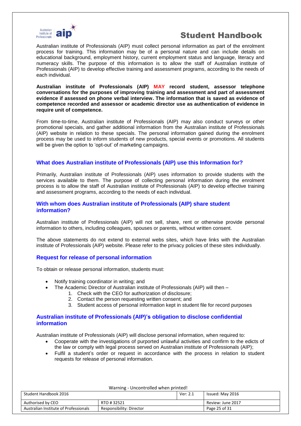

Australian institute of Professionals (AIP) must collect personal information as part of the enrolment process for training. This information may be of a personal nature and can include details on educational background, employment history, current employment status and language, literacy and numeracy skills. The purpose of this information is to allow the staff of Australian institute of Professionals (AIP) to develop effective training and assessment programs, according to the needs of each individual.

**Australian institute of Professionals (AIP) MAY record student, assessor telephone conversations for the purposes of improving training and assessment and part of assessment evidence if assessed on phone verbal interview. The information that is saved as evidence of competence recorded and assessor or academic director use as authentication of evidence in require unit of competence.**

From time-to-time, Australian institute of Professionals (AIP) may also conduct surveys or other promotional specials, and gather additional information from the Australian institute of Professionals (AIP) website in relation to these specials. The personal information gained during the enrolment process may be used to inform students of new products, special events or promotions. All students will be given the option to 'opt-out' of marketing campaigns.

#### **What does Australian institute of Professionals (AIP) use this Information for?**

Primarily, Australian institute of Professionals (AIP) uses information to provide students with the services available to them. The purpose of collecting personal information during the enrolment process is to allow the staff of Australian institute of Professionals (AIP) to develop effective training and assessment programs, according to the needs of each individual.

#### **With whom does Australian institute of Professionals (AIP) share student information?**

Australian institute of Professionals (AIP) will not sell, share, rent or otherwise provide personal information to others, including colleagues, spouses or parents, without written consent.

The above statements do not extend to external webs sites, which have links with the Australian institute of Professionals (AIP) website. Please refer to the privacy policies of these sites individually.

#### **Request for release of personal information**

To obtain or release personal information, students must:

- Notify training coordinator in writing; and
- The Academic Director of Australian institute of Professionals (AIP) will then
	- 1. Check with the CEO for authorization of disclosure;
	- 2. Contact the person requesting written consent; and
	- 3. Student access of personal information kept in student file for record purposes

#### **Australian institute of Professionals (AIP)'s obligation to disclose confidential information**

Australian institute of Professionals (AIP) will disclose personal information, when required to:

- Cooperate with the investigations of purported unlawful activities and confirm to the edicts of the law or comply with legal process served on Australian institute of Professionals (AIP);
- Fulfil a student's order or request in accordance with the process in relation to student requests for release of personal information.

| Student Handbook 2016                 |                          | Ver: 2.1          | Issued: May 2016 |
|---------------------------------------|--------------------------|-------------------|------------------|
| Authorised by CEO<br>RTO #32521       |                          | Review: June 2017 |                  |
| Australian Institute of Professionals | Responsibility: Director |                   | Page 25 of 31    |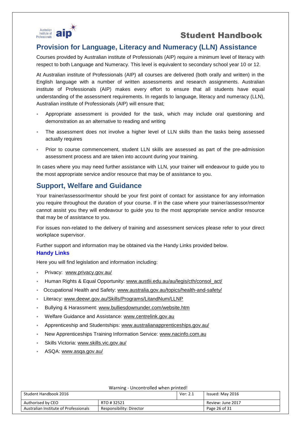

### **Provision for Language, Literacy and Numeracy (LLN) Assistance**

Courses provided by Australian institute of Professionals (AIP) require a minimum level of literacy with respect to both Language and Numeracy. This level is equivalent to secondary school year 10 or 12.

At Australian institute of Professionals (AIP) all courses are delivered (both orally and written) in the English language with a number of written assessments and research assignments. Australian institute of Professionals (AIP) makes every effort to ensure that all students have equal understanding of the assessment requirements. In regards to language, literacy and numeracy (LLN), Australian institute of Professionals (AIP) will ensure that;

- Appropriate assessment is provided for the task, which may include oral questioning and demonstration as an alternative to reading and writing
- The assessment does not involve a higher level of LLN skills than the tasks being assessed actually requires
- Prior to course commencement, student LLN skills are assessed as part of the pre-admission assessment process and are taken into account during your training.

In cases where you may need further assistance with LLN, your trainer will endeavour to guide you to the most appropriate service and/or resource that may be of assistance to you.

### **Support, Welfare and Guidance**

Your trainer/assessor/mentor should be your first point of contact for assistance for any information you require throughout the duration of your course. If in the case where your trainer/assessor/mentor cannot assist you they will endeavour to guide you to the most appropriate service and/or resource that may be of assistance to you.

For issues non-related to the delivery of training and assessment services please refer to your direct workplace supervisor.

Further support and information may be obtained via the Handy Links provided below.

### **Handy Links**

Here you will find legislation and information including:

- Privacy: [www.privacy.gov.au/](http://www.privacy.gov.au/)
- Human Rights & Equal Opportunity: [www.austlii.edu.au/au/legis/cth/consol\\_act/](http://www.austlii.edu.au/au/legis/cth/consol_act/)
- Occupational Health and Safety: [www.australia.gov.au/topics/health-and-safety/](http://www.australia.gov.au/topics/health-and-safety/)
- Literacy: [www.deewr.gov.au/Skills/Programs/LitandNum/LLNP](http://www.deewr.gov.au/Skills/Programs/LitandNum/LLNP)
- Bullying & Harassment: [www.bulliesdownunder.com/website.htm](http://www.bulliesdownunder.com/website.htm)
- Welfare Guidance and Assistance: [www.centrelink.gov.au](http://www.centrelink.gov.au/)
- Apprenticeship and Studentships: [www.australianapprenticeships.gov.au/](http://www.australianapprenticeships.gov.au/)
- New Apprenticeships Training Information Service: [www.nacinfo.com.au](http://www.nacinfo.com.au/)
- Skills Victoria: [www.skills.vic.gov.au/](http://www.skills.vic.gov.au/)
- ASQA: [www.asqa.gov.au/](http://www.asqa.gov.au/)

| Warning - Uncontrolled when printed!                              |  |               |                   |  |
|-------------------------------------------------------------------|--|---------------|-------------------|--|
| Student Handbook 2016<br>Ver: 2.1<br>Issued: May 2016             |  |               |                   |  |
|                                                                   |  |               |                   |  |
| Authorised by CEO<br>RTO #32521                                   |  |               | Review: June 2017 |  |
| Australian Institute of Professionals<br>Responsibility: Director |  | Page 26 of 31 |                   |  |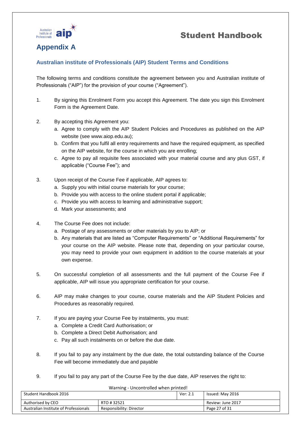



### **Appendix A**

### **Australian institute of Professionals (AIP) Student Terms and Conditions**

The following terms and conditions constitute the agreement between you and Australian institute of Professionals ("AIP") for the provision of your course ("Agreement").

- 1. By signing this Enrolment Form you accept this Agreement. The date you sign this Enrolment Form is the Agreement Date.
- 2. By accepting this Agreement you:
	- a. Agree to comply with the AIP Student Policies and Procedures as published on the AIP website (see www.aiop.edu.au);
	- b. Confirm that you fulfil all entry requirements and have the required equipment, as specified on the AIP website, for the course in which you are enrolling;
	- c. Agree to pay all requisite fees associated with your material course and any plus GST, if applicable ("Course Fee"); and
- 3. Upon receipt of the Course Fee if applicable, AIP agrees to:
	- a. Supply you with initial course materials for your course;
	- b. Provide you with access to the online student portal if applicable;
	- c. Provide you with access to learning and administrative support;
	- d. Mark your assessments; and
- 4. The Course Fee does not include:
	- a. Postage of any assessments or other materials by you to AIP; or
	- b. Any materials that are listed as "Computer Requirements" or "Additional Requirements" for your course on the AIP website. Please note that, depending on your particular course, you may need to provide your own equipment in addition to the course materials at your own expense.
- 5. On successful completion of all assessments and the full payment of the Course Fee if applicable, AIP will issue you appropriate certification for your course.
- 6. AIP may make changes to your course, course materials and the AIP Student Policies and Procedures as reasonably required.
- 7. If you are paying your Course Fee by instalments, you must:
	- a. Complete a Credit Card Authorisation; or
	- b. Complete a Direct Debit Authorisation; and
	- c. Pay all such instalments on or before the due date.
- 8. If you fail to pay any instalment by the due date, the total outstanding balance of the Course Fee will become immediately due and payable
- 9. If you fail to pay any part of the Course Fee by the due date, AIP reserves the right to:

| warning - Uncontrolled when printed!                              |            |               |                   |
|-------------------------------------------------------------------|------------|---------------|-------------------|
| Student Handbook 2016                                             |            | Ver: 2.1      | Issued: May 2016  |
| Authorised by CEO                                                 | RTO #32521 |               | Review: June 2017 |
| Australian Institute of Professionals<br>Responsibility: Director |            | Page 27 of 31 |                   |

Warning - Uncontrolled when printed when printed when printed when printed when printed when printed when printed when printed when  $\mathbf{U}$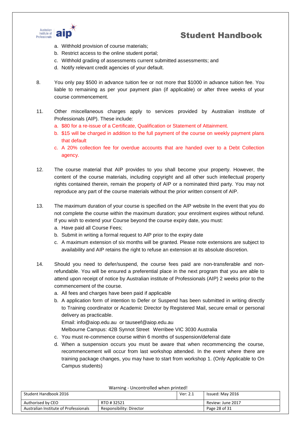

- a. Withhold provision of course materials;
- b. Restrict access to the online student portal;
- c. Withhold grading of assessments current submitted assessments; and
- d. Notify relevant credit agencies of your default.
- 8. You only pay \$500 in advance tuition fee or not more that \$1000 in advance tuition fee. You liable to remaining as per your payment plan (if applicable) or after three weeks of your course commencement.
- 11. Other miscellaneous charges apply to services provided by Australian institute of Professionals (AIP). These include:
	- a. \$80 for a re-issue of a Certificate, Qualification or Statement of Attainment.
	- b. \$15 will be charged in addition to the full payment of the course on weekly payment plans that default
	- c. A 20% collection fee for overdue accounts that are handed over to a Debt Collection agency.
- 12. The course material that AIP provides to you shall become your property. However, the content of the course materials, including copyright and all other such intellectual property rights contained therein, remain the property of AIP or a nominated third party. You may not reproduce any part of the course materials without the prior written consent of AIP.
- 13. The maximum duration of your course is specified on the AIP website In the event that you do not complete the course within the maximum duration; your enrolment expires without refund. If you wish to extend your Course beyond the course expiry date, you must:
	- a. Have paid all Course Fees;
	- b. Submit in writing a formal request to AIP prior to the expiry date
	- c. A maximum extension of six months will be granted. Please note extensions are subject to availability and AIP retains the right to refuse an extension at its absolute discretion.
- 14. Should you need to defer/suspend, the course fees paid are non-transferable and nonrefundable. You will be ensured a preferential place in the next program that you are able to attend upon receipt of notice by Australian institute of Professionals (AIP) 2 weeks prior to the commencement of the course.
	- a. All fees and charges have been paid if applicable
	- b. A application form of intention to Defer or Suspend has been submitted in writing directly to Training coordinator or Academic Director by Registered Mail, secure email or personal delivery as practicable.
		- Email: info@aiop.edu.au or tauseef@aiop.edu.au
		- Melbourne Campus: 42B Synnot Street Werribee VIC 3030 Australia
	- c. You must re-commence course within 6 months of suspension/deferral date
	- d. When a suspension occurs you must be aware that when recommencing the course, recommencement will occur from last workshop attended. In the event where there are training package changes, you may have to start from workshop 1. (Only Applicable to On Campus students)

| Warning - Uncontrolled when printed!                              |  |  |                   |  |
|-------------------------------------------------------------------|--|--|-------------------|--|
| Student Handbook 2016<br>Issued: May 2016<br>Ver: 2.1             |  |  |                   |  |
| Authorised by CEO<br>RTO #32521                                   |  |  | Review: June 2017 |  |
| Australian Institute of Professionals<br>Responsibility: Director |  |  | Page 28 of 31     |  |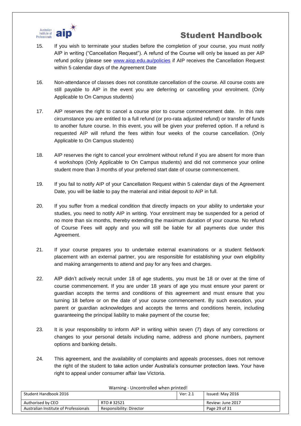

- 15. If you wish to terminate your studies before the completion of your course, you must notify AIP in writing ("Cancellation Request"). A refund of the Course will only be issued as per AIP refund policy (please see [www.aiop.edu.au/policies](http://www.aiop.edu.au/policies) if AIP receives the Cancellation Request within 5 calendar days of the Agreement Date
- 16. Non-attendance of classes does not constitute cancellation of the course. All course costs are still payable to AIP in the event you are deferring or cancelling your enrolment. (Only Applicable to On Campus students)
- 17. AIP reserves the right to cancel a course prior to course commencement date. In this rare circumstance you are entitled to a full refund (or pro-rata adjusted refund) or transfer of funds to another future course. In this event, you will be given your preferred option. If a refund is requested AIP will refund the fees within four weeks of the course cancellation. (Only Applicable to On Campus students)
- 18. AIP reserves the right to cancel your enrolment without refund if you are absent for more than 4 workshops (Only Applicable to On Campus students) and did not commence your online student more than 3 months of your preferred start date of course commencement.
- 19. If you fail to notify AIP of your Cancellation Request within 5 calendar days of the Agreement Date, you will be liable to pay the material and initial deposit to AIP in full.
- 20. If you suffer from a medical condition that directly impacts on your ability to undertake your studies, you need to notify AIP in writing. Your enrolment may be suspended for a period of no more than six months, thereby extending the maximum duration of your course. No refund of Course Fees will apply and you will still be liable for all payments due under this Agreement.
- 21. If your course prepares you to undertake external examinations or a student fieldwork placement with an external partner, you are responsible for establishing your own eligibility and making arrangements to attend and pay for any fees and charges.
- 22. AIP didn't actively recruit under 18 of age students, you must be 18 or over at the time of course commencement. If you are under 18 years of age you must ensure your parent or guardian accepts the terms and conditions of this agreement and must ensure that you turning 18 before or on the date of your course commencement. By such execution, your parent or guardian acknowledges and accepts the terms and conditions herein, including guaranteeing the principal liability to make payment of the course fee;
- 23. It is your responsibility to inform AIP in writing within seven (7) days of any corrections or changes to your personal details including name, address and phone numbers, payment options and banking details.
- 24. This agreement, and the availability of complaints and appeals processes, does not remove the right of the student to take action under Australia's consumer protection laws. Your have right to appeal under consumer affair law Victoria.

| warning oncontrolled writer printed:<br>Student Handbook 2016 |                          | Ver: 2.1 | Issued: May 2016  |
|---------------------------------------------------------------|--------------------------|----------|-------------------|
| Authorised by CEO<br>RTO #32521                               |                          |          | Review: June 2017 |
| Australian Institute of Professionals                         | Responsibility: Director |          | Page 29 of 31     |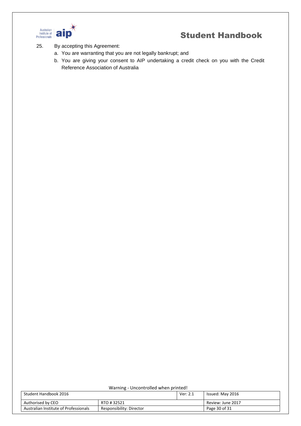

- 25. By accepting this Agreement:
	- a. You are warranting that you are not legally bankrupt; and
	- b. You are giving your consent to AIP undertaking a credit check on you with the Credit Reference Association of Australia

| Warning - Uncontrolled when printed!                              |  |  |                   |  |
|-------------------------------------------------------------------|--|--|-------------------|--|
| Student Handbook 2016<br>Ver: 2.1<br>Issued: May 2016             |  |  |                   |  |
| Authorised by CEO<br>RTO #32521                                   |  |  | Review: June 2017 |  |
| Australian Institute of Professionals<br>Responsibility: Director |  |  | Page 30 of 31     |  |